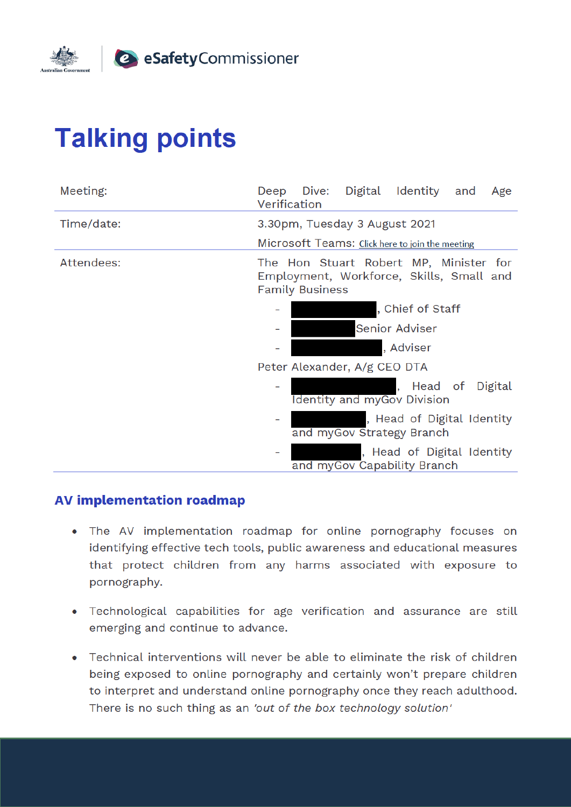

# **Talking points**

| Meeting:   | Deep Dive: Digital Identity and<br>Age<br>Verification                                                       |
|------------|--------------------------------------------------------------------------------------------------------------|
| Time/date: | 3.30pm, Tuesday 3 August 2021<br>Microsoft Teams: Click here to join the meeting                             |
| Attendees: | The Hon Stuart Robert MP, Minister for<br>Employment, Workforce, Skills, Small and<br><b>Family Business</b> |
|            | , Chief of Staff                                                                                             |
|            | <b>Senior Adviser</b>                                                                                        |
|            | , Adviser                                                                                                    |
|            | Peter Alexander, A/g CEO DTA                                                                                 |
|            | , Head of Digital<br>Identity and myGov Division                                                             |
|            | , Head of Digital Identity<br>and myGov Strategy Branch                                                      |
|            | , Head of Digital Identity<br>and myGov Capability Branch                                                    |

# **AV implementation roadmap**

- The AV implementation roadmap for online pornography focuses on identifying effective tech tools, public awareness and educational measures that protect children from any harms associated with exposure to pornography.
- Technological capabilities for age verification and assurance are still emerging and continue to advance.
- Technical interventions will never be able to eliminate the risk of children being exposed to online pornography and certainly won't prepare children to interpret and understand online pornography once they reach adulthood. There is no such thing as an 'out of the box technology solution'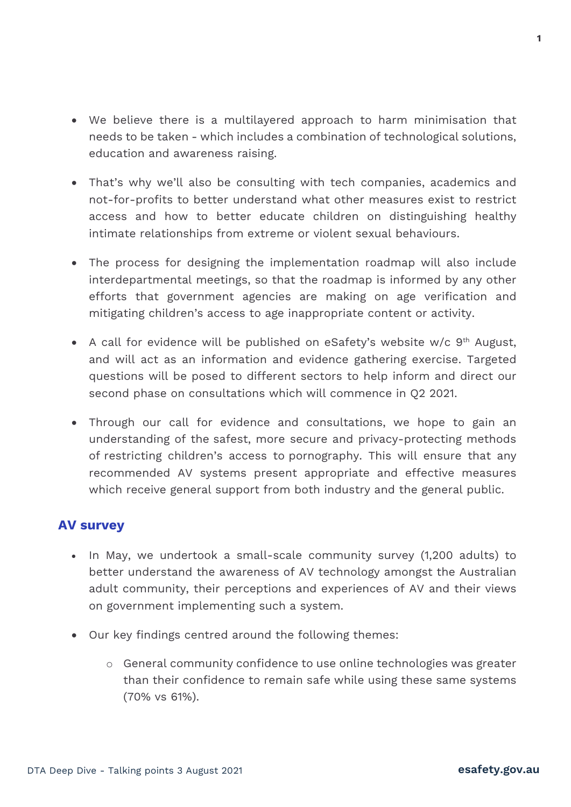- We believe there is a multilayered approach to harm minimisation that needs to be taken - which includes a combination of technological solutions, education and awareness raising.
- That's why we'll also be consulting with tech companies, academics and not-for-profits to better understand what other measures exist to restrict access and how to better educate children on distinguishing healthy intimate relationships from extreme or violent sexual behaviours.
- The process for designing the implementation roadmap will also include interdepartmental meetings, so that the roadmap is informed by any other efforts that government agencies are making on age verification and mitigating children's access to age inappropriate content or activity.
- A call for evidence will be published on eSafety's website w/c  $9<sup>th</sup>$  August, and will act as an information and evidence gathering exercise. Targeted questions will be posed to different sectors to help inform and direct our second phase on consultations which will commence in Q2 2021.
- Through our call for evidence and consultations, we hope to gain an understanding of the safest, more secure and privacy-protecting methods of restricting children's access to pornography. This will ensure that any recommended AV systems present appropriate and effective measures which receive general support from both industry and the general public.

# **AV survey**

- In May, we undertook a small-scale community survey (1,200 adults) to better understand the awareness of AV technology amongst the Australian adult community, their perceptions and experiences of AV and their views on government implementing such a system.
- Our key findings centred around the following themes:
	- o General community confidence to use online technologies was greater than their confidence to remain safe while using these same systems (70% vs 61%).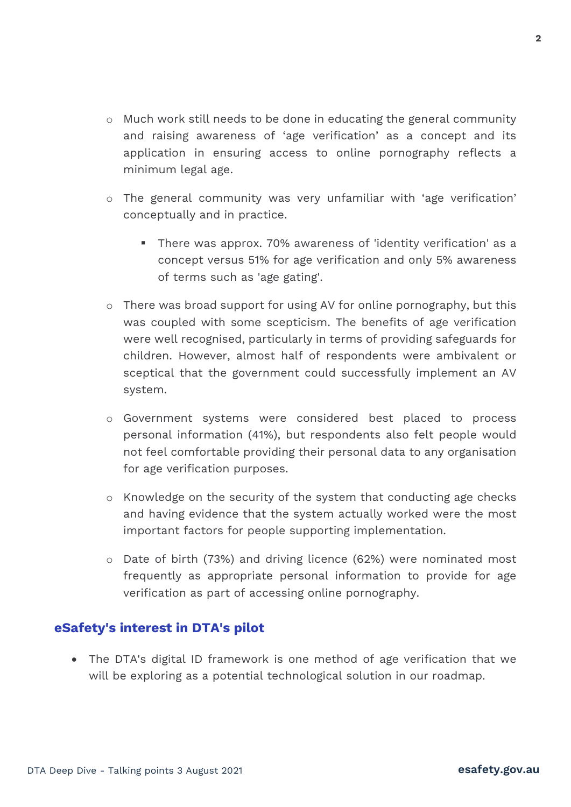- o Much work still needs to be done in educating the general community and raising awareness of 'age verification' as a concept and its application in ensuring access to online pornography reflects a minimum legal age.
- o The general community was very unfamiliar with 'age verification' conceptually and in practice.
	- There was approx. 70% awareness of 'identity verification' as a concept versus 51% for age verification and only 5% awareness of terms such as 'age gating'.
- o There was broad support for using AV for online pornography, but this was coupled with some scepticism. The benefits of age verification were well recognised, particularly in terms of providing safeguards for children. However, almost half of respondents were ambivalent or sceptical that the government could successfully implement an AV system.
- o Government systems were considered best placed to process personal information (41%), but respondents also felt people would not feel comfortable providing their personal data to any organisation for age verification purposes.
- o Knowledge on the security of the system that conducting age checks and having evidence that the system actually worked were the most important factors for people supporting implementation.
- o Date of birth (73%) and driving licence (62%) were nominated most frequently as appropriate personal information to provide for age verification as part of accessing online pornography.

# **eSafety's interest in DTA's pilot**

• The DTA's digital ID framework is one method of age verification that we will be exploring as a potential technological solution in our roadmap.